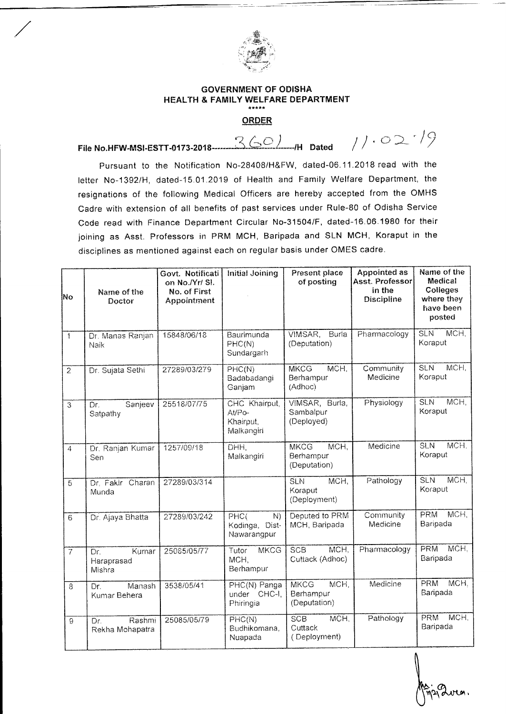

## **GOVERNMENT OF ODISHA HEALTH & FAMILY WELFARE DEPARTMENT**

## **ORDER**

**File No.HFW-MSI-ESTT-0173-2018---** $360$  H Dated 11.02.19

Pursuant to the Notification No-28408/H&FW, dated-06.11.2018 read with the letter No-1392/H, dated-15.01.2019 of Health and Family Welfare Department, the resignations of the following Medical Officers are hereby accepted from the OMHS Cadre with extension of all benefits of past services under Rule-80 of Odisha Service Code read with Finance Department Circular No-31504/F, dated-16.06.1980 for their joining as Asst. Professors in PRM MCH, Baripada and SLN MCH, Koraput in the disciplines as mentioned against each on regular basis under OMES cadre.

| No             | Name of the<br>Doctor                | Govt. Notificati<br>on No./Yr/ SI.<br>No. of First<br>Appointment | <b>Initial Joining</b>                             | Present place<br>of posting                      | <b>Appointed as</b><br>Asst. Professor<br>in the<br><b>Discipline</b> | Name of the<br>Medical<br>Colleges<br>where they<br>have been<br>posted |
|----------------|--------------------------------------|-------------------------------------------------------------------|----------------------------------------------------|--------------------------------------------------|-----------------------------------------------------------------------|-------------------------------------------------------------------------|
| $\mathbf{1}$   | Dr. Manas Ranjan<br>Naik             | 15848/06/18                                                       | Baurimunda<br>PHC(N)<br>Sundargarh                 | VIMSAR,<br><b>Burla</b><br>(Deputation)          | Pharmacology                                                          | MCH.<br>SLN<br>Koraput                                                  |
| $\overline{2}$ | Dr. Sujata Sethi                     | 27289/03/279                                                      | PHC(N)<br>Badabadangi<br>Ganjam                    | MCH.<br><b>MKCG</b><br>Berhampur<br>(Adhoc)      | Community<br>Medicine                                                 | MCH,<br><b>SLN</b><br>Koraput                                           |
| $\overline{3}$ | Sanjeev<br>Ďr.<br>Satpathy           | 25518/07/75                                                       | CHC Khairput,<br>At/Po-<br>Khairput,<br>Malkangiri | VIMSAR, Burla,<br>Sambalpur<br>(Deployed)        | Physiology                                                            | MCH,<br>SLN<br>Koraput                                                  |
| $\overline{4}$ | Dr. Ranjan Kumar<br>Sen              | 1257/09/18                                                        | DHH.<br>Malkangiri                                 | <b>MKCG</b><br>MCH,<br>Berhampur<br>(Deputation) | Medicine                                                              | MCH.<br>SLN<br>Koraput                                                  |
| $\overline{5}$ | Dr. Fakir<br>Charan<br>Munda         | 27289/03/314                                                      |                                                    | MCH,<br><b>SLN</b><br>Koraput<br>(Deployment)    | Pathology                                                             | $MCH$ ,<br><b>SLN</b><br>Koraput                                        |
| $\overline{6}$ | Dr. Ajava Bhatta                     | 27289/03/242                                                      | PHC(<br>N<br>Kodinga, Dist-<br>Nawarangpur         | Deputed to PRM<br>MCH, Baripada                  | Community<br>Medicine                                                 | PRM<br>MCH.<br>Baripada                                                 |
| 7              | Kumar<br>Dr.<br>Haraprasad<br>Mishra | 25085/05/77                                                       | <b>MKCG</b><br>Tutor<br>MCH,<br>Berhampur          | MCH.<br><b>SCB</b><br>Cuttack (Adhoc)            | Pharmacology                                                          | MCH.<br>PRM<br>Baripada                                                 |
| 8              | Manash<br>Dr.<br>Kumar Behera        | 3538/05/41                                                        | PHC(N) Panga<br>under CHC-I,<br>Phiringia          | MCH,<br><b>MKCG</b><br>Berhampur<br>(Deputation) | Medicine                                                              | MCH.<br>PRM<br>Baripada                                                 |
| $\overline{9}$ | Rashmi<br>Dr.<br>Rekha Mohapatra     | 25085/05/79                                                       | PHC(N)<br>Budhikomana,<br>Nuapada                  | MCH,<br><b>SCB</b><br>Cuttack<br>(Deployment)    | Pathology                                                             | MCH.<br><b>PRM</b><br>Baripada                                          |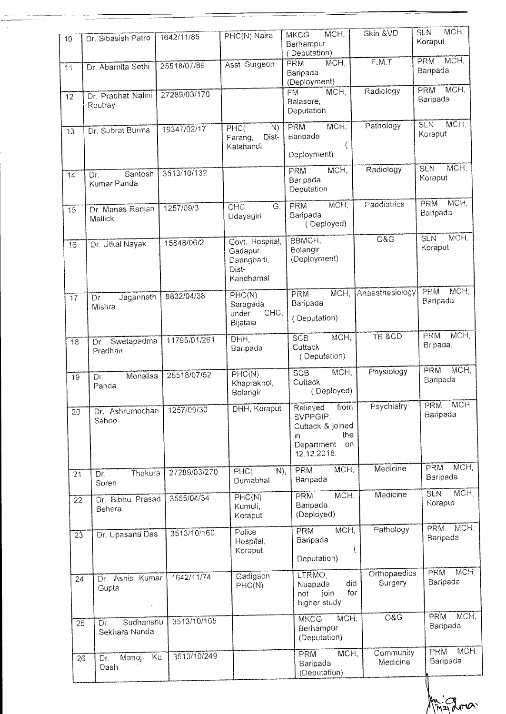| 10              | Dr. Sibasish Patro                | 1642/11/85   | PHC(N) Naira                                                     | MCH,<br><b>MKCG</b><br>Berhampur<br>(Deputation)                                                  | Skin &VD                   | MCH,<br><b>SLN</b><br>Koraput  |
|-----------------|-----------------------------------|--------------|------------------------------------------------------------------|---------------------------------------------------------------------------------------------------|----------------------------|--------------------------------|
| $\overline{11}$ | Dr. Abarnita Sethi                | 25518/07/89  | Asst. Surgeon                                                    | MCH.<br><b>PRM</b><br>Baripada<br>(Deployment)                                                    | F.M.T                      | MCH,<br>PRM<br>Baripada        |
| $\overline{12}$ | Dr. Prabhat Nalini<br>Routray     | 27289/03/170 |                                                                  | MCH,<br><b>FM</b><br>Balasore,<br>Deputation                                                      | Radiology                  | MCH.<br>PRM<br>Baripada        |
| $\overline{13}$ | Dr. Subrat Burma                  | 19347/02/17  | PHC(<br>N)<br>Farang,<br>Dist-<br>Kalahandi                      | MCH,<br>PRM<br>Baripada<br>Deployment)                                                            | Pathology                  | MCH.<br><b>SLN</b><br>Koraput  |
| 14              | Santosh<br>Dr.<br>Kumar Panda     | 3513/10/132  |                                                                  | MCH.<br><b>PRM</b><br>Baripada,<br>Deputation                                                     | Radiology                  | MCH.<br><b>SLN</b><br>Koraput  |
| 15              | Dr. Manas Ranjan<br>Mailick       | 1257/09/3    | G.<br><b>CHC</b><br>Udayagiri                                    | MCH.<br><b>PRM</b><br>Baripada<br>(Deployed)                                                      | Paediatrics                | MCH,<br>PRM<br>Baripada        |
| 16              | Dr. Utkal Nayak                   | 15848/06/2   | Govt. Hospital,<br>Gadapur,<br>Daringbadi,<br>Dist-<br>Kandhamal | BBMCH,<br>Bolangir<br>(Deployment)                                                                | $\overline{OSG}$           | MCH.<br>SLN<br>Koraput.        |
| 17              | Jagannath<br>Dr.<br>Mishra        | 8832/04/38   | PHC(N)<br>Saragada<br>CHC,<br>under<br>Bijatala                  | MCH,<br>PRM<br>Baripada<br>(Deputation)                                                           | Anaesthesiology            | MCH,<br>PRM<br>Baripada        |
| $\overline{18}$ | Swetapadma<br>Dr.<br>Pradhan      | 11795/01/261 | DHH.<br>Baripada                                                 | MCH,<br><b>SCB</b><br>Cuttack<br>(Deputation)                                                     | TB &CD                     | MCH.<br>PRM<br>Bripada.        |
| 19              | Monalisa<br>Dr.<br>Panda          | 25518/07/52  | PHC(N)<br>Khaprakhol,<br>Bolangir                                | MCH,<br><b>SCB</b><br>Cuttack<br>(Deployed)                                                       | Physiology                 | MCH.<br>PRM<br>Baripada        |
| 20              | Dr. Ashrumochan<br>Sahoo          | 1257/09/30   | DHH, Koraput                                                     | Relieved<br>from<br>SVPPGIP,<br>Cuttack & joined<br>the.<br>in<br>Department<br>on<br>12,12.2018. | Psychiatry                 | MCH.<br>PRM<br>Baripada        |
| 21              | Thakura<br>Dr.<br>Soren           | 27289/03/270 | $\widetilde{N}$ ),<br>PHC(<br>Dumabhal                           | MCH,<br>PRM<br>Baripada                                                                           | Medicine                   | MCH,<br><b>PRM</b><br>Baripada |
| 22              | Dr. Bibhu Prasad<br>Behera        | 3555/04/34   | PHC(N)<br>Kumuli,<br>Koraput                                     | MCH,<br>PRM<br>Baripada,<br>(Deployed)                                                            | Medicine                   | MCH,<br>SLN<br>Koraput         |
| $\overline{23}$ | Dr. Upasana Das                   | 3513/10/160  | Police<br>Hospital,<br>Koraput                                   | MCH,<br><b>PRM</b><br>Baripada<br>Deputation)                                                     | Pathology                  | MCH.<br><b>PRM</b><br>Baripada |
| 24              | Dr. Ashis Kumar<br>Gupta          | 1642/11/74   | Gadigaon<br>PHC(N)                                               | LTRMO,<br>did<br>Nuapada,<br>for<br>join<br>not<br>higher study                                   | Orthopaedics<br>Surgery    | MCH,<br>PRM<br>Baripada        |
| 25              | Sudhanshu<br>Dr.<br>Sekhara Nanda | 3513/10/105  |                                                                  | MCH,<br><b>MKCG</b><br>Berhampur<br>(Deputation)                                                  | $\overline{\mathrm{O}}$ &G | MCH,<br>PRM<br>Baripada        |
| 26              | Ku.<br>Manoj.<br>Dr.<br>Dash      | 3513/10/249  |                                                                  | MCH,<br>PRM<br>Baripada<br>(Deputation)                                                           | Community<br>Medicine      | MCH.<br><b>PRM</b><br>Baripada |

An : Grow